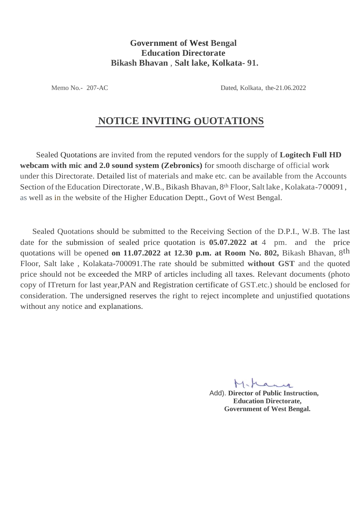## **Government of West Bengal Education Directorate Bikash Bhavan** , **Salt lake, Kolkata- 91.**

Memo No.- 207-AC Dated, Kolkata, the-21.06.2022

## **NOTICE INVITING OUOTATIONS**

Sealed Quotations are invited from the reputed vendors for the supply of **Logitech Full HD webcam with mic and 2.0 sound system (Zebronics)** for smooth discharge of official work under this Directorate. Detailed list of materials and make etc. can be available from the Accounts Section of the Education Directorate, W.B., Bikash Bhavan, 8<sup>th</sup> Floor, Salt lake, Kolakata-700091, as well as in the website of the Higher Education Deptt., Govt of West Bengal.

Sealed Quotations should be submitted to the Receiving Section of the D.P.I., W.B. The last date for the submission of sealed price quotation is **05.07.2022 at** 4 pm. and the price quotations will be opened on 11.07.2022 at 12.30 p.m. at Room No. 802, Bikash Bhavan, 8<sup>th</sup> Floor, Salt lake , Kolakata-700091.The rate should be submitted **without GST** and the quoted price should not be exceeded the MRP of articles including all taxes. Relevant documents (photo copy of ITreturn for last year,PAN and Registration certificate of GST.etc.) should be enclosed for consideration. The undersigned reserves the right to reject incomplete and unjustified quotations without any notice and explanations.

Add). **Director of Public Instruction, Education Directorate, Government of West Bengal.**